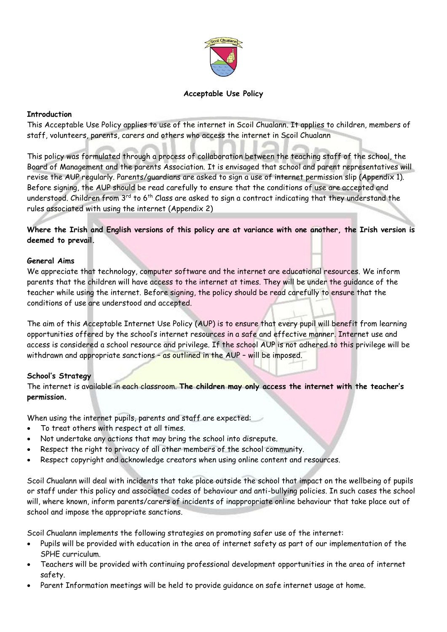

## **Acceptable Use Policy**

#### **Introduction**

This Acceptable Use Policy applies to use of the internet in Scoil Chualann. It applies to children, members of staff, volunteers, parents, carers and others who access the internet in Scoil Chualann

This policy was formulated through a process of collaboration between the teaching staff of the school, the Board of Management and the parents Association. It is envisaged that school and parent representatives will revise the AUP regularly. Parents/guardians are asked to sign a use of internet permission slip (Appendix 1). Before signing, the AUP should be read carefully to ensure that the conditions of use are accepted and understood. Children from  $3^{rd}$  to 6<sup>th</sup> Class are asked to sign a contract indicating that they understand the rules associated with using the internet (Appendix 2)

**Where the Irish and English versions of this policy are at variance with one another, the Irish version is deemed to prevail.** 

#### **General Aims**

We appreciate that technology, computer software and the internet are educational resources. We inform parents that the children will have access to the internet at times. They will be under the guidance of the teacher while using the internet. Before signing, the policy should be read carefully to ensure that the conditions of use are understood and accepted.

The aim of this Acceptable Internet Use Policy (AUP) is to ensure that every pupil will benefit from learning opportunities offered by the school's internet resources in a safe and effective manner. Internet use and access is considered a school resource and privilege. If the school AUP is not adhered to this privilege will be withdrawn and appropriate sanctions - as outlined in the AUP - will be imposed.

#### **School's Strategy**

The internet is available in each classroom. **The children may only access the internet with the teacher's permission.**

When using the internet pupils, parents and staff are expected:

- To treat others with respect at all times.
- Not undertake any actions that may bring the school into disrepute.
- Respect the right to privacy of all other members of the school community.
- Respect copyright and acknowledge creators when using online content and resources.

Scoil Chualann will deal with incidents that take place outside the school that impact on the wellbeing of pupils or staff under this policy and associated codes of behaviour and anti-bullying policies. In such cases the school will, where known, inform parents/carers of incidents of inappropriate online behaviour that take place out of school and impose the appropriate sanctions.

Scoil Chualann implements the following strategies on promoting safer use of the internet:

- Pupils will be provided with education in the area of internet safety as part of our implementation of the SPHE curriculum.
- Teachers will be provided with continuing professional development opportunities in the area of internet safety.
- Parent Information meetings will be held to provide guidance on safe internet usage at home.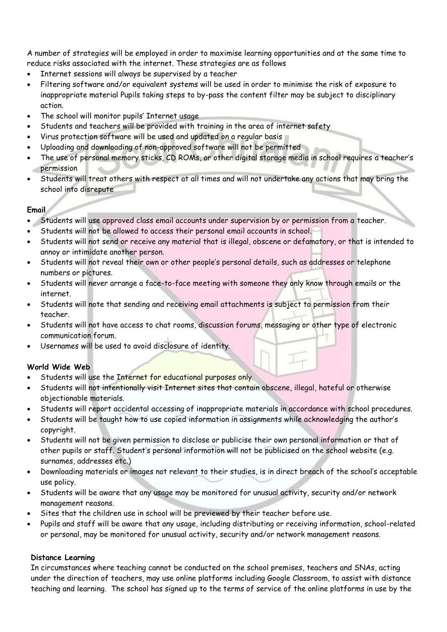A number of strategies will be employed in order to maximise learning opportunities and at the same time to reduce risks associated with the internet. These strategies are as follows

- Internet sessions will always be supervised by a teacher
- Filtering software and/or equivalent systems will be used in order to minimise the risk of exposure to inappropriate material Pupils taking steps to by-pass the content filter may be subject to disciplinary action.
- The school will monitor pupils' Internet usage
- Students and teachers will be provided with training in the area of internet safety
- Virus protection software will be used and updated on a regular basis
- Uploading and downloading of non-approved software will not be permitted
- The use of personal memory sticks, CD ROMs, or other digital storage media in school requires a teacher's permission ud.
- Students will treat others with respect at all times and will not undertake any actions that may bring the school into disrepute

## **Email**

- Students will use approved class email accounts under supervision by or permission from a teacher.
- Students will not be allowed to access their personal email accounts in school.
- Students will not send or receive any material that is illegal, obscene or defamatory, or that is intended to annoy or intimidate another person.
- Students will not reveal their own or other people's personal details, such as addresses or telephone numbers or pictures.
- Students will never arrange a face-to-face meeting with someone they only know through emails or the internet.
- Students will note that sending and receiving email attachments is subject to permission from their teacher.
- Students will not have access to chat rooms, discussion forums, messaging or other type of electronic communication forum.
- Usernames will be used to avoid disclosure of identity.

## **World Wide Web**

- Students will use the Internet for educational purposes only.
- Students will not intentionally visit Internet sites that contain obscene, illegal, hateful or otherwise objectionable materials.
- Students will report accidental accessing of inappropriate materials in accordance with school procedures.
- Students will be taught how to use copied information in assignments while acknowledging the author's copyright.
- Students will not be given permission to disclose or publicise their own personal information or that of other pupils or staff. Student's personal information will not be publicised on the school website (e.g. surnames, addresses etc.)
- Downloading materials or images not relevant to their studies, is in direct breach of the school's acceptable use policy.
- Students will be aware that any usage may be monitored for unusual activity, security and/or network management reasons.
- Sites that the children use in school will be previewed by their teacher before use.
- Pupils and staff will be aware that any usage, including distributing or receiving information, school-related or personal, may be monitored for unusual activity, security and/or network management reasons.

## **Distance Learning**

In circumstances where teaching cannot be conducted on the school premises, teachers and SNAs, acting under the direction of teachers, may use online platforms including Google Classroom, to assist with distance teaching and learning. The school has signed up to the terms of service of the online platforms in use by the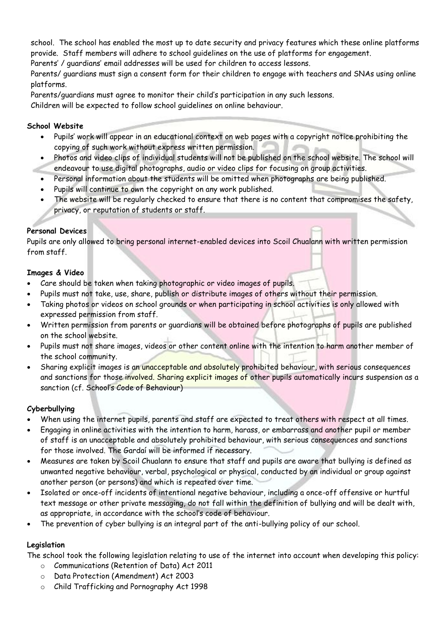school. The school has enabled the most up to date security and privacy features which these online platforms provide. Staff members will adhere to school guidelines on the use of platforms for engagement.

Parents' / guardians' email addresses will be used for children to access lessons.

Parents/ guardians must sign a consent form for their children to engage with teachers and SNAs using online platforms.

Parents/guardians must agree to monitor their child's participation in any such lessons.

Children will be expected to follow school guidelines on online behaviour.

## **School Website**

- Pupils' work will appear in an educational context on web pages with a copyright notice prohibiting the copying of such work without express written permission.
- Photos and video clips of individual students will not be published on the school website. The school will endeavour to use digital photographs, audio or video clips for focusing on group activities.
- Personal information about the students will be omitted when photographs are being published.
- Pupils will continue to own the copyright on any work published.
- The website will be regularly checked to ensure that there is no content that compromises the safety, privacy, or reputation of students or staff.

# **Personal Devices**

Pupils are only allowed to bring personal internet-enabled devices into Scoil Chualann with written permission from staff.

# **Images & Video**

- Care should be taken when taking photographic or video images of pupils.
- Pupils must not take, use, share, publish or distribute images of others without their permission.
- Taking photos or videos on school grounds or when participating in school activities is only allowed with expressed permission from staff.
- Written permission from parents or guardians will be obtained before photographs of pupils are published on the school website.
- Pupils must not share images, videos or other content online with the intention to harm another member of the school community.
- Sharing explicit images is an unacceptable and absolutely prohibited behaviour, with serious consequences and sanctions for those involved. Sharing explicit images of other pupils automatically incurs suspension as a sanction (cf. School's Code of Behaviour)

# **Cyberbullying**

- When using the internet pupils, parents and staff are expected to treat others with respect at all times.
- Engaging in online activities with the intention to harm, harass, or embarrass and another pupil or member of staff is an unacceptable and absolutely prohibited behaviour, with serious consequences and sanctions for those involved. The Gardaí will be informed if necessary.
- Measures are taken by Scoil Chualann to ensure that staff and pupils are aware that bullying is defined as unwanted negative behaviour, verbal, psychological or physical, conducted by an individual or group against another person (or persons) and which is repeated over time.
- Isolated or once-off incidents of intentional negative behaviour, including a once-off offensive or hurtful text message or other private messaging, do not fall within the definition of bullying and will be dealt with, as appropriate, in accordance with the school's code of behaviour.
- The prevention of cyber bullying is an integral part of the anti-bullying policy of our school.

# **Legislation**

The school took the following legislation relating to use of the internet into account when developing this policy:

- o Communications (Retention of Data) Act 2011
- o Data Protection (Amendment) Act 2003
- o Child Trafficking and Pornography Act 1998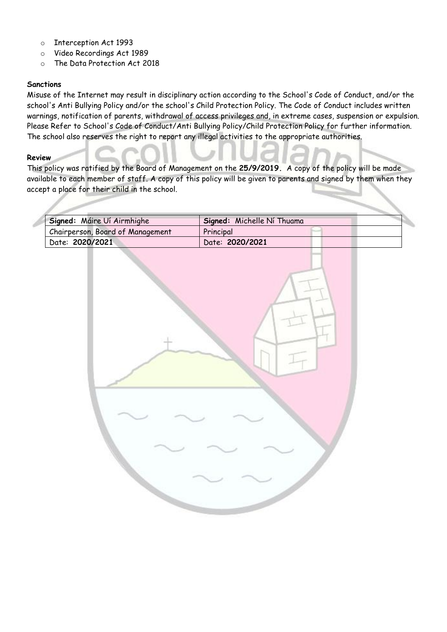- o Interception Act 1993
- o Video Recordings Act 1989
- o The Data Protection Act 2018

## **Sanctions**

Misuse of the Internet may result in disciplinary action according to the School's Code of Conduct, and/or the school's Anti Bullying Policy and/or the school's Child Protection Policy. The Code of Conduct includes written warnings, notification of parents, withdrawal of access privileges and, in extreme cases, suspension or expulsion. Please Refer to School's Code of Conduct/Anti Bullying Policy/Child Protection Policy for further information. The school also reserves the right to report any illegal activities to the appropriate authorities.

#### **Review**

ä

This policy was ratified by the Board of Management on the **25/9/2019.** A copy of the policy will be made available to each member of staff. A copy of this policy will be given to parents and signed by them when they accept a place for their child in the school.

| Signed: Máire Uí Airmhighe       | Signed: Michelle Ní Thuama |
|----------------------------------|----------------------------|
| Chairperson, Board of Management | Principal                  |
| Date: 2020/2021                  | Date: 2020/2021            |
|                                  |                            |
|                                  |                            |
|                                  |                            |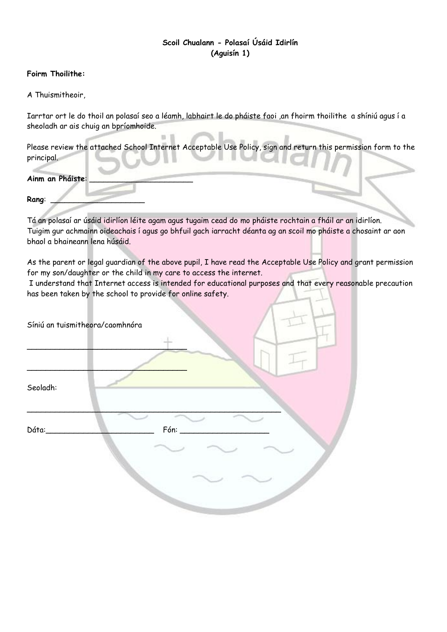# **Scoil Chualann - Polasaí Úsáid Idirlín (Aguisín 1)**

### **Foirm Thoilithe:**

A Thuismitheoir,

Iarrtar ort le do thoil an polasaí seo a léamh, labhairt le do pháiste faoi ,an fhoirm thoilithe a shíniú agus í a sheoladh ar ais chuig an bpríomhoide.

Please review the attached School Internet Acceptable Use Policy, sign and return this permission form to the principal.

**Ainm an Pháiste**: \_\_\_\_\_\_\_\_\_\_\_\_\_\_\_\_\_\_\_\_\_\_

**Rang**: \_\_\_\_\_\_\_\_\_\_\_\_\_\_\_\_\_\_\_\_

Tá an polasaí ar úsáid idirlíon léite agam agus tugaim cead do mo pháiste rochtain a fháil ar an idirlíon. Tuigim gur achmainn oideachais í agus go bhfuil gach iarracht déanta ag an scoil mo pháiste a chosaint ar aon bhaol a bhaineann lena húsáid.

As the parent or legal guardian of the above pupil, I have read the Acceptable Use Policy and grant permission for my son/daughter or the child in my care to access the internet.

I understand that Internet access is intended for educational purposes and that every reasonable precaution has been taken by the school to provide for online safety.

|          | Síniú an tuismitheora/caomhnóra |
|----------|---------------------------------|
|          |                                 |
|          |                                 |
| Seoladh: |                                 |
| Dáta:    | Fón:                            |
|          |                                 |
|          |                                 |
|          |                                 |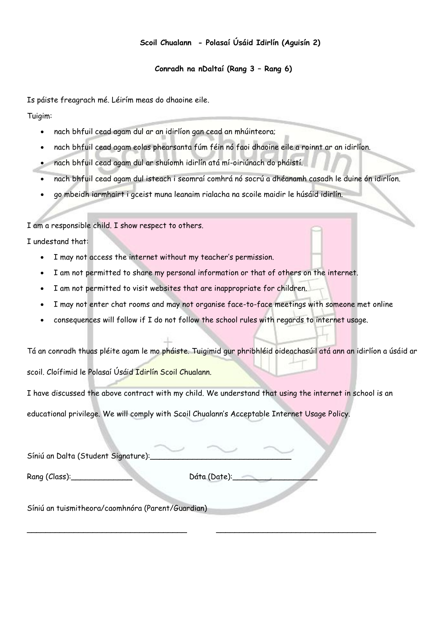## **Scoil Chualann - Polasaí Úsáid Idirlín (Aguisín 2)**

### **Conradh na nDaltaí (Rang 3 – Rang 6)**

Is páiste freagrach mé. Léirím meas do dhaoine eile.

Tuigim:

- nach bhfuil cead agam dul ar an idirlíon gan cead an mhúinteora;
- nach bhfuil cead agam eolas phearsanta fúm féin nó faoi dhaoine eile a roinnt ar an idirlíon.
- nach bhfuil cead agam dul ar shuíomh idirlín atá mí-oiriúnach do pháistí.
- nach bhfuil cead agam dul isteach i seomraí comhrá nó socrú a dhéanamh casadh le duine ón idirlíon.
- go mbeidh iarmhairt i gceist muna leanaim rialacha na scoile maidir le húsáid idirlín.

I am a responsible child. I show respect to others.

I undestand that:

- I may not access the internet without my teacher's permission.
- I am not permitted to share my personal information or that of others on the internet.
- I am not permitted to visit websites that are inappropriate for children.
- I may not enter chat rooms and may not organise face-to-face meetings with someone met online
- consequences will follow if I do not follow the school rules with regards to internet usage.

Tá an conradh thuas pléite agam le mo pháiste. Tuigimid gur phribhléid oideachasúil atá ann an idirlíon a úsáid ar scoil. Cloífimid le Polasaí Úsáid Idirlín Scoil Chualann.

I have discussed the above contract with my child. We understand that using the internet in school is an

educational privilege. We will comply with Scoil Chualann's Acceptable Internet Usage Policy.

| Síniú an Dalta (Student Signature):               |              |  |
|---------------------------------------------------|--------------|--|
| Rang (Class):________                             | Dáta (Date): |  |
| Síniú an tuismitheora/caomhnóra (Parent/Guardian) |              |  |

\_\_\_\_\_\_\_\_\_\_\_\_\_\_\_\_\_\_\_\_\_\_\_\_\_\_\_\_\_\_\_\_\_\_ \_\_\_\_\_\_\_\_\_\_\_\_\_\_\_\_\_\_\_\_\_\_\_\_\_\_\_\_\_\_\_\_\_\_